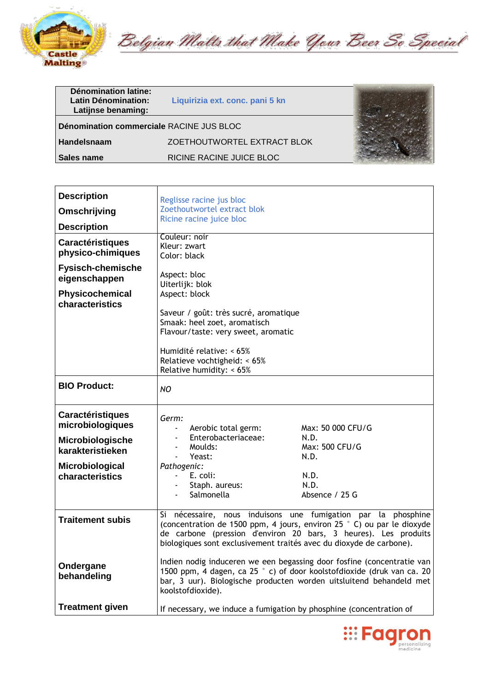

Belgian Malts that Make Your Beer So Special

| <b>Dénomination latine:</b><br>Latin Dénomination:<br>Latijnse benaming: | Liquirizia ext. conc. pani 5 kn |  |
|--------------------------------------------------------------------------|---------------------------------|--|
| Dénomination commerciale RACINE JUS BLOC                                 |                                 |  |
| Handelsnaam                                                              | ZOETHOUTWORTEL EXTRACT BLOK     |  |
| Sales name                                                               | RICINE RACINE JUICE BLOC        |  |

| <b>Description</b>                                                     | Reglisse racine jus bloc                                                                                                                                                                                                                                                          |                                |
|------------------------------------------------------------------------|-----------------------------------------------------------------------------------------------------------------------------------------------------------------------------------------------------------------------------------------------------------------------------------|--------------------------------|
| Omschrijving                                                           | Zoethoutwortel extract blok                                                                                                                                                                                                                                                       |                                |
| <b>Description</b>                                                     | Ricine racine juice bloc                                                                                                                                                                                                                                                          |                                |
| <b>Caractéristiques</b><br>physico-chimiques                           | Couleur: noir<br>Kleur: zwart<br>Color: black                                                                                                                                                                                                                                     |                                |
| <b>Fysisch-chemische</b><br>eigenschappen                              | Aspect: bloc<br>Uiterlijk: blok                                                                                                                                                                                                                                                   |                                |
| Physicochemical<br>characteristics                                     | Aspect: block                                                                                                                                                                                                                                                                     |                                |
|                                                                        | Saveur / goût: très sucré, aromatique<br>Smaak: heel zoet, aromatisch<br>Flavour/taste: very sweet, aromatic<br>Humidité relative: < 65%<br>Relatieve vochtigheid: < 65%<br>Relative humidity: < 65%                                                                              |                                |
| <b>BIO Product:</b>                                                    | NO.                                                                                                                                                                                                                                                                               |                                |
| <b>Caractéristiques</b><br>microbiologiques<br><b>Microbiologische</b> | Germ:<br>Aerobic total germ:<br>Enterobacteriaceae:                                                                                                                                                                                                                               | Max: 50 000 CFU/G<br>N.D.      |
| karakteristieken                                                       | Moulds:<br>Yeast:<br>$\blacksquare$                                                                                                                                                                                                                                               | Max: 500 CFU/G<br>N.D.         |
| Microbiological<br>characteristics                                     | Pathogenic:<br>E. coli:<br>Staph. aureus:<br>Salmonella                                                                                                                                                                                                                           | N.D.<br>N.D.<br>Absence / 25 G |
| <b>Traitement subis</b>                                                | Si nécessaire, nous induisons une fumigation par la phosphine<br>(concentration de 1500 ppm, 4 jours, environ 25 ° C) ou par le dioxyde<br>de carbone (pression d'environ 20 bars, 3 heures). Les produits<br>biologiques sont exclusivement traités avec du dioxyde de carbone). |                                |
| Ondergane<br>behandeling                                               | Indien nodig induceren we een begassing door fosfine (concentratie van<br>1500 ppm, 4 dagen, ca 25 ° c) of door koolstofdioxide (druk van ca. 20<br>bar, 3 uur). Biologische producten worden uitsluitend behandeld met<br>koolstofdioxide).                                      |                                |
| <b>Treatment given</b>                                                 | If necessary, we induce a fumigation by phosphine (concentration of                                                                                                                                                                                                               |                                |

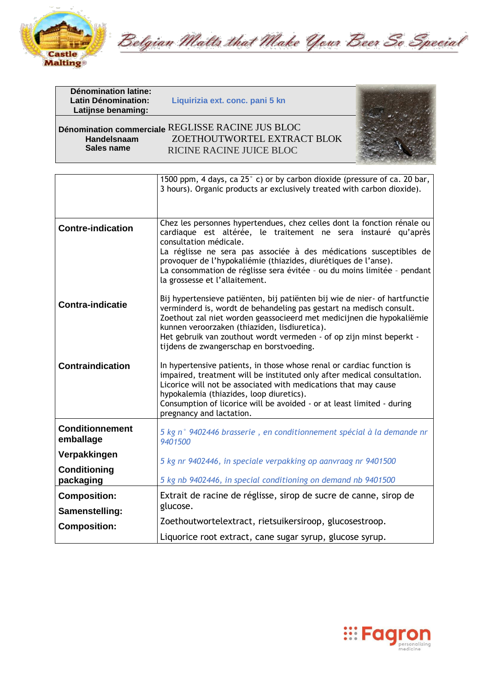

Belgian Malts that Make Your Beer So Special

| <b>Dénomination latine:</b><br><b>Latin Dénomination:</b><br>Latijnse benaming: | Liquirizia ext. conc. pani 5 kn                                                                              |  |
|---------------------------------------------------------------------------------|--------------------------------------------------------------------------------------------------------------|--|
| Handelsnaam<br>Sales name                                                       | Dénomination commerciale REGLISSE RACINE JUS BLOC<br>ZOETHOUTWORTEL EXTRACT BLOK<br>RICINE RACINE JUICE BLOC |  |

|                                     | 1500 ppm, 4 days, ca 25° c) or by carbon dioxide (pressure of ca. 20 bar,<br>3 hours). Organic products ar exclusively treated with carbon dioxide).                                                                                                                                                                                                                                                                      |
|-------------------------------------|---------------------------------------------------------------------------------------------------------------------------------------------------------------------------------------------------------------------------------------------------------------------------------------------------------------------------------------------------------------------------------------------------------------------------|
| <b>Contre-indication</b>            | Chez les personnes hypertendues, chez celles dont la fonction rénale ou<br>cardiaque est altérée, le traitement ne sera instauré qu'après<br>consultation médicale.<br>La réglisse ne sera pas associée à des médications susceptibles de<br>provoquer de l'hypokaliémie (thiazides, diurétiques de l'anse).<br>La consommation de réglisse sera évitée - ou du moins limitée - pendant<br>la grossesse et l'allaitement. |
| <b>Contra-indicatie</b>             | Bij hypertensieve patiënten, bij patiënten bij wie de nier- of hartfunctie<br>verminderd is, wordt de behandeling pas gestart na medisch consult.<br>Zoethout zal niet worden geassocieerd met medicijnen die hypokaliëmie<br>kunnen veroorzaken (thiaziden, lisdiuretica).<br>Het gebruik van zouthout wordt vermeden - of op zijn minst beperkt -<br>tijdens de zwangerschap en borstvoeding.                           |
| <b>Contraindication</b>             | In hypertensive patients, in those whose renal or cardiac function is<br>impaired, treatment will be instituted only after medical consultation.<br>Licorice will not be associated with medications that may cause<br>hypokalemia (thiazides, loop diuretics).<br>Consumption of licorice will be avoided - or at least limited - during<br>pregnancy and lactation.                                                     |
| <b>Conditionnement</b><br>emballage | 5 kg n° 9402446 brasserie, en conditionnement spécial à la demande nr<br>9401500                                                                                                                                                                                                                                                                                                                                          |
| Verpakkingen                        | 5 kg nr 9402446, in speciale verpakking op aanvraag nr 9401500                                                                                                                                                                                                                                                                                                                                                            |
| Conditioning<br>packaging           | 5 kg nb 9402446, in special conditioning on demand nb 9401500                                                                                                                                                                                                                                                                                                                                                             |
| <b>Composition:</b>                 | Extrait de racine de réglisse, sirop de sucre de canne, sirop de                                                                                                                                                                                                                                                                                                                                                          |
| Samenstelling:                      | glucose.                                                                                                                                                                                                                                                                                                                                                                                                                  |
| <b>Composition:</b>                 | Zoethoutwortelextract, rietsuikersiroop, glucosestroop.                                                                                                                                                                                                                                                                                                                                                                   |
|                                     | Liquorice root extract, cane sugar syrup, glucose syrup.                                                                                                                                                                                                                                                                                                                                                                  |

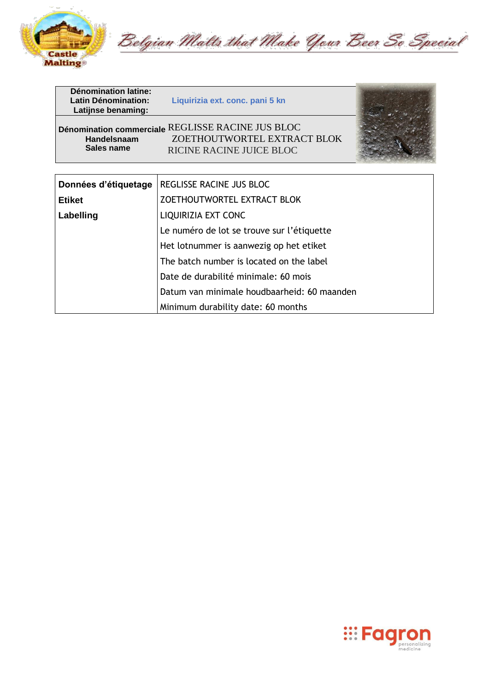

Belgian Malts that Make Your Beer So Special

| Dénomination latine:<br>Latin Dénomination:<br>Latijnse benaming: | Liquirizia ext. conc. pani 5 kn                                                                              |  |
|-------------------------------------------------------------------|--------------------------------------------------------------------------------------------------------------|--|
| <b>Handelsnaam</b><br>Sales name                                  | Dénomination commerciale REGLISSE RACINE JUS BLOC<br>ZOETHOUTWORTEL EXTRACT BLOK<br>RICINE RACINE JUICE BLOC |  |
|                                                                   |                                                                                                              |  |
| Données d'étiquetage                                              | REGLISSE RACINE JUS BLOC                                                                                     |  |
| <b>Etiket</b>                                                     | ZOETHOUTWORTEL EXTRACT BLOK                                                                                  |  |
| Labelling                                                         | LIQUIRIZIA EXT CONC                                                                                          |  |
|                                                                   | Le numéro de lot se trouve sur l'étiquette                                                                   |  |
|                                                                   | Het lotnummer is aanwezig op het etiket                                                                      |  |
|                                                                   | The batch number is located on the label                                                                     |  |
|                                                                   | Date de durabilité minimale: 60 mois                                                                         |  |
|                                                                   | Datum van minimale houdbaarheid: 60 maanden                                                                  |  |

Minimum durability date: 60 months

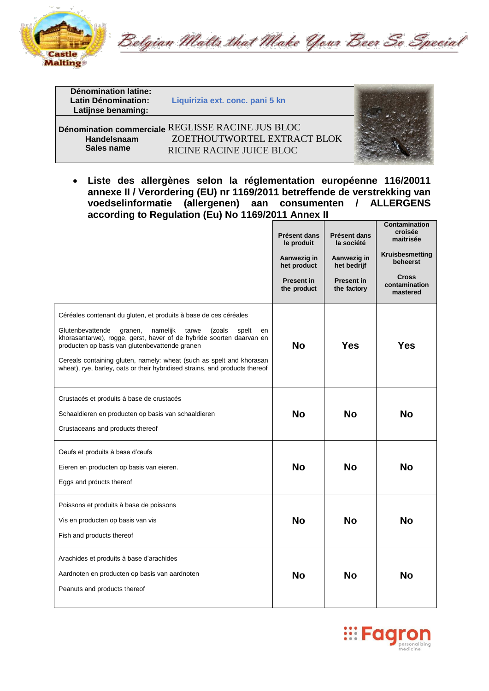

Belgian Malts that Make Your Beer So Special

| <b>Dénomination latine:</b> |                                                   |  |
|-----------------------------|---------------------------------------------------|--|
| <b>Latin Dénomination:</b>  | Liquirizia ext. conc. pani 5 kn                   |  |
| Latijnse benaming:          |                                                   |  |
|                             |                                                   |  |
|                             | Dénomination commerciale REGLISSE RACINE JUS BLOC |  |
| Handelsnaam                 | ZOETHOUTWORTEL EXTRACT BLOK                       |  |
| Sales name                  | RICINE RACINE JUICE BLOC                          |  |

• **Liste des allergènes selon la réglementation européenne 116/20011 annexe II / Verordering (EU) nr 1169/2011 betreffende de verstrekking van voedselinformatie (allergenen) aan consumenten / ALLERGENS according to Regulation (Eu) No 1169/2011 Annex II**

|                                                                                                                                                                                                                                                                                                                                                                                                                                | Présent dans<br>le produit<br>Aanwezig in<br>het product<br><b>Present in</b><br>the product | Présent dans<br>la société<br>Aanwezig in<br>het bedrijf<br><b>Present in</b><br>the factory | Contamination<br>croisée<br>maitrisée<br>Kruisbesmetting<br>beheerst<br><b>Cross</b><br>contamination<br>mastered |
|--------------------------------------------------------------------------------------------------------------------------------------------------------------------------------------------------------------------------------------------------------------------------------------------------------------------------------------------------------------------------------------------------------------------------------|----------------------------------------------------------------------------------------------|----------------------------------------------------------------------------------------------|-------------------------------------------------------------------------------------------------------------------|
| Céréales contenant du gluten, et produits à base de ces céréales<br>Glutenbevattende<br>namelijk<br>tarwe<br>(zoals<br>granen,<br>spelt<br>en<br>khorasantarwe), rogge, gerst, haver of de hybride soorten daarvan en<br>producten op basis van glutenbevattende granen<br>Cereals containing gluten, namely: wheat (such as spelt and khorasan<br>wheat), rye, barley, oats or their hybridised strains, and products thereof | <b>No</b>                                                                                    | Yes                                                                                          | Yes                                                                                                               |
| Crustacés et produits à base de crustacés<br>Schaaldieren en producten op basis van schaaldieren<br>Crustaceans and products thereof                                                                                                                                                                                                                                                                                           | <b>No</b>                                                                                    | No                                                                                           | <b>No</b>                                                                                                         |
| Oeufs et produits à base d'œufs<br>Eieren en producten op basis van eieren.<br>Eggs and prducts thereof                                                                                                                                                                                                                                                                                                                        | <b>No</b>                                                                                    | <b>No</b>                                                                                    | <b>No</b>                                                                                                         |
| Poissons et produits à base de poissons<br>Vis en producten op basis van vis<br>Fish and products thereof                                                                                                                                                                                                                                                                                                                      | <b>No</b>                                                                                    | <b>No</b>                                                                                    | <b>No</b>                                                                                                         |
| Arachides et produits à base d'arachides<br>Aardnoten en producten op basis van aardnoten<br>Peanuts and products thereof                                                                                                                                                                                                                                                                                                      | <b>No</b>                                                                                    | No                                                                                           | <b>No</b>                                                                                                         |



**CONTRACTOR**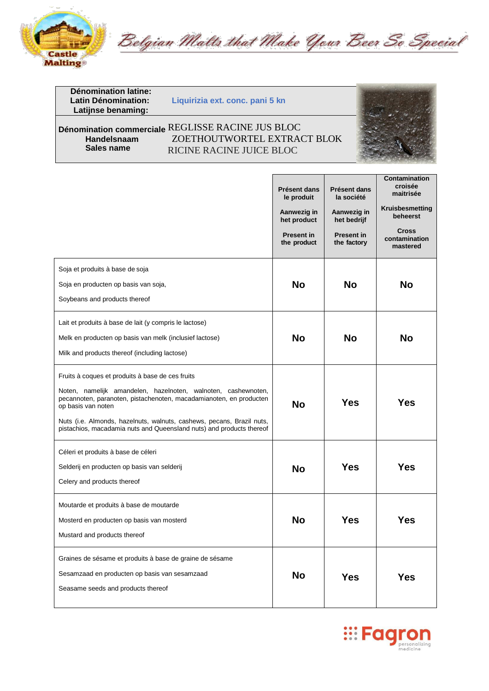

Belgian Malts that Make Your Beer So Special

**Dénomination latine: Latijnse benaming:**

**Liquirizia ext. conc. pani 5 kn** 

## **<sup>9400706</sup> Dénomination commerciale** REGLISSE RACINE JUS BLOC **Handelsnaam** ZOETHOUTWORTEL EXTRACT BLOK<br> **Sales name** RICINE RACINE ILICE BLOC **Sales name** RICINE RACINE JUICE BLOC



|                                                                                                                                                           | <b>Présent dans</b><br>le produit<br>Aanwezig in<br>het product | <b>Présent dans</b><br>la société<br>Aanwezig in<br>het bedrijf | <b>Contamination</b><br>croisée<br>maitrisée<br>Kruisbesmetting<br>beheerst |
|-----------------------------------------------------------------------------------------------------------------------------------------------------------|-----------------------------------------------------------------|-----------------------------------------------------------------|-----------------------------------------------------------------------------|
|                                                                                                                                                           | <b>Present in</b><br>the product                                | <b>Present in</b><br>the factory                                | <b>Cross</b><br>contamination<br>mastered                                   |
| Soja et produits à base de soja                                                                                                                           |                                                                 |                                                                 |                                                                             |
| Soja en producten op basis van soja,                                                                                                                      | <b>No</b>                                                       | <b>No</b>                                                       | <b>No</b>                                                                   |
| Soybeans and products thereof                                                                                                                             |                                                                 |                                                                 |                                                                             |
| Lait et produits à base de lait (y compris le lactose)                                                                                                    |                                                                 |                                                                 |                                                                             |
| Melk en producten op basis van melk (inclusief lactose)                                                                                                   | <b>No</b>                                                       | <b>No</b>                                                       | <b>No</b>                                                                   |
| Milk and products thereof (including lactose)                                                                                                             |                                                                 |                                                                 |                                                                             |
| Fruits à coques et produits à base de ces fruits                                                                                                          |                                                                 |                                                                 |                                                                             |
| Noten, namelijk amandelen, hazelnoten, walnoten, cashewnoten,<br>pecannoten, paranoten, pistachenoten, macadamianoten, en producten<br>op basis van noten | <b>No</b>                                                       | <b>Yes</b>                                                      | Yes                                                                         |
| Nuts (i.e. Almonds, hazelnuts, walnuts, cashews, pecans, Brazil nuts,<br>pistachios, macadamia nuts and Queensland nuts) and products thereof             |                                                                 |                                                                 |                                                                             |
| Céleri et produits à base de céleri                                                                                                                       |                                                                 |                                                                 |                                                                             |
| Selderij en producten op basis van selderij                                                                                                               | <b>No</b>                                                       | <b>Yes</b>                                                      | Yes                                                                         |
| Celery and products thereof                                                                                                                               |                                                                 |                                                                 |                                                                             |
| Moutarde et produits à base de moutarde                                                                                                                   |                                                                 |                                                                 |                                                                             |
| Mosterd en producten op basis van mosterd                                                                                                                 | <b>No</b>                                                       | <b>Yes</b>                                                      | Yes                                                                         |
| Mustard and products thereof                                                                                                                              |                                                                 |                                                                 |                                                                             |
| Graines de sésame et produits à base de graine de sésame                                                                                                  |                                                                 |                                                                 |                                                                             |
| Sesamzaad en producten op basis van sesamzaad                                                                                                             | <b>No</b>                                                       | <b>Yes</b>                                                      | Yes                                                                         |
| Seasame seeds and products thereof                                                                                                                        |                                                                 |                                                                 |                                                                             |

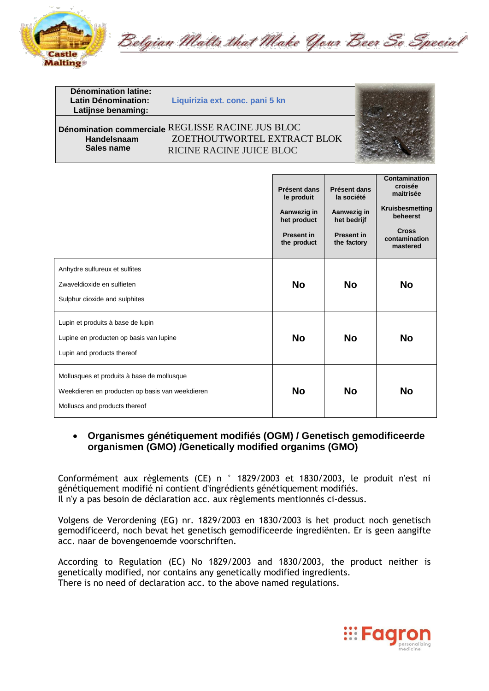

Belgian Malts that Make Your Beer So Special

**Dénomination latine: Latin Dénomination: Liquirizia ext. conc. pani 5 kn Latijnse benaming: <sup>9400706</sup> Dénomination commerciale** REGLISSE RACINE JUS BLOC **Handelsnaam** ZOETHOUTWORTEL EXTRACT BLOK<br>Sales name RICINE RACINE HUCE BLOC **Sales name** RICINE RACINE JUICE BLOC



|                                                                                                                                | Présent dans<br>le produit<br>Aanwezig in<br>het product<br><b>Present in</b><br>the product | Présent dans<br>la société<br>Aanwezig in<br>het bedrijf<br><b>Present in</b><br>the factory | Contamination<br>croisée<br>maitrisée<br>Kruisbesmetting<br>beheerst<br><b>Cross</b><br>contamination<br>mastered |
|--------------------------------------------------------------------------------------------------------------------------------|----------------------------------------------------------------------------------------------|----------------------------------------------------------------------------------------------|-------------------------------------------------------------------------------------------------------------------|
| Anhydre sulfureux et sulfites<br>Zwaveldioxide en sulfieten<br>Sulphur dioxide and sulphites                                   | <b>No</b>                                                                                    | <b>No</b>                                                                                    | <b>No</b>                                                                                                         |
| Lupin et produits à base de lupin<br>Lupine en producten op basis van lupine<br>Lupin and products thereof                     | <b>No</b>                                                                                    | <b>No</b>                                                                                    | <b>No</b>                                                                                                         |
| Mollusques et produits à base de mollusque<br>Weekdieren en producten op basis van weekdieren<br>Molluscs and products thereof | <b>No</b>                                                                                    | <b>No</b>                                                                                    | No                                                                                                                |

### • **Organismes génétiquement modifiés (OGM) / Genetisch gemodificeerde organismen (GMO) /Genetically modified organims (GMO)**

Conformément aux règlements (CE) n ° 1829/2003 et 1830/2003, le produit n'est ni génétiquement modifié ni contient d'ingrédients génétiquement modifiés. Il n'y a pas besoin de déclaration acc. aux règlements mentionnés ci-dessus.

Volgens de Verordening (EG) nr. 1829/2003 en 1830/2003 is het product noch genetisch gemodificeerd, noch bevat het genetisch gemodificeerde ingrediënten. Er is geen aangifte acc. naar de bovengenoemde voorschriften.

According to Regulation (EC) No 1829/2003 and 1830/2003, the product neither is genetically modified, nor contains any genetically modified ingredients. There is no need of declaration acc. to the above named regulations.

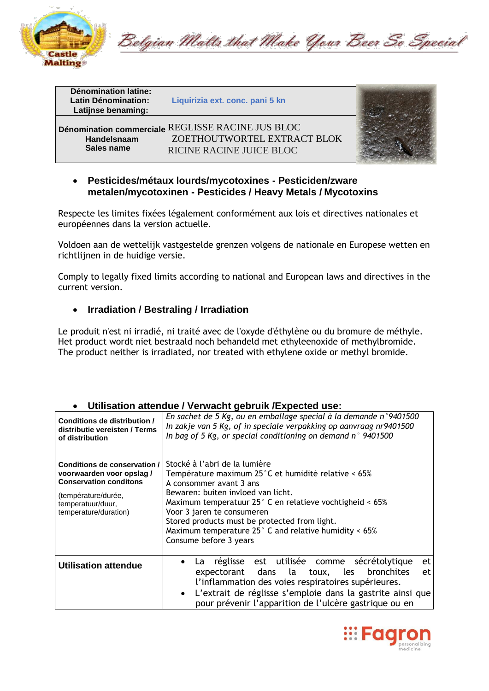

Belgian Malts that Make Your Beer So Special

| <b>Dénomination latine:</b><br><b>Latin Dénomination:</b><br>Latijnse benaming: | Liquirizia ext. conc. pani 5 kn                                                                              |  |
|---------------------------------------------------------------------------------|--------------------------------------------------------------------------------------------------------------|--|
| Handelsnaam<br>Sales name                                                       | Dénomination commerciale REGLISSE RACINE JUS BLOC<br>ZOETHOUTWORTEL EXTRACT BLOK<br>RICINE RACINE JUICE BLOC |  |

#### • **Pesticides/métaux lourds/mycotoxines - Pesticiden/zware metalen/mycotoxinen - Pesticides / Heavy Metals / Mycotoxins**

Respecte les limites fixées légalement conformément aux lois et directives nationales et européennes dans la version actuelle.

Voldoen aan de wettelijk vastgestelde grenzen volgens de nationale en Europese wetten en richtlijnen in de huidige versie.

Comply to legally fixed limits according to national and European laws and directives in the current version.

### • **Irradiation / Bestraling / Irradiation**

Le produit n'est ni irradié, ni traité avec de l'oxyde d'éthylène ou du bromure de méthyle. Het product wordt niet bestraald noch behandeld met ethyleenoxide of methylbromide. The product neither is irradiated, nor treated with ethylene oxide or methyl bromide.

#### • **Utilisation attendue / Verwacht gebruik /Expected use:**

| Conditions de distribution /<br>distributie vereisten / Terms<br>of distribution                                                                               | En sachet de 5 Kg, ou en emballage special à la demande n°9401500<br>In zakje van 5 Kg, of in speciale verpakking op aanvraag nr9401500<br>In bag of 5 Kg, or special conditioning on demand $n^{\circ}$ 9401500                                                                                                                                                                             |
|----------------------------------------------------------------------------------------------------------------------------------------------------------------|----------------------------------------------------------------------------------------------------------------------------------------------------------------------------------------------------------------------------------------------------------------------------------------------------------------------------------------------------------------------------------------------|
| Conditions de conservation /<br>voorwaarden voor opslag/<br><b>Conservation conditons</b><br>(température/durée,<br>temperatuur/duur,<br>temperature/duration) | Stocké à l'abri de la lumière<br>Température maximum 25°C et humidité relative < 65%<br>A consommer avant 3 ans<br>Bewaren: buiten invloed van licht.<br>Maximum temperatuur 25° C en relatieve vochtigheid < 65%<br>Voor 3 jaren te consumeren<br>Stored products must be protected from light.<br>Maximum temperature $25^{\circ}$ C and relative humidity < 65%<br>Consume before 3 years |
| <b>Utilisation attendue</b>                                                                                                                                    | réglisse est utilisée comme sécrétolytique<br>et<br>La.<br>expectorant dans la toux, les bronchites<br>et<br>l'inflammation des voies respiratoires supérieures.<br>• L'extrait de réglisse s'emploie dans la gastrite ainsi que<br>pour prévenir l'apparition de l'ulcère gastrique ou en                                                                                                   |

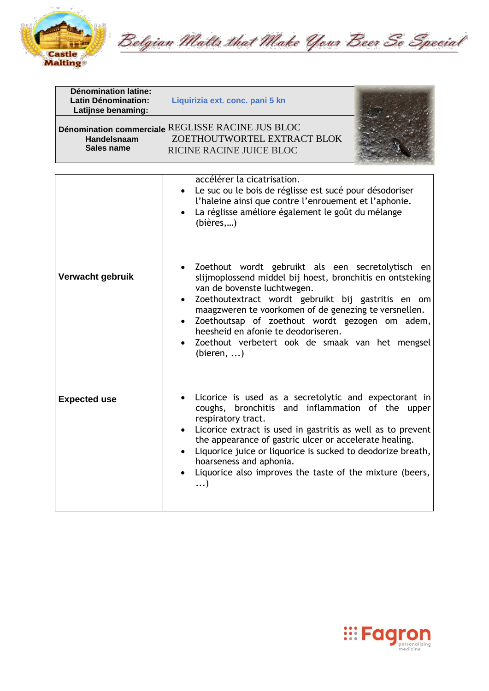

Belgian Malts that Make Your Beer So Special

| <b>Dénomination latine:</b><br><b>Latin Dénomination:</b><br>Latijnse benaming: | Liquirizia ext. conc. pani 5 kn                                                                                                                                                                                                                                                                                                                                                                                                                  |
|---------------------------------------------------------------------------------|--------------------------------------------------------------------------------------------------------------------------------------------------------------------------------------------------------------------------------------------------------------------------------------------------------------------------------------------------------------------------------------------------------------------------------------------------|
| Handelsnaam<br>Sales name                                                       | Dénomination commerciale REGLISSE RACINE JUS BLOC<br>ZOETHOUTWORTEL EXTRACT BLOK<br>RICINE RACINE JUICE BLOC                                                                                                                                                                                                                                                                                                                                     |
|                                                                                 | accélérer la cicatrisation.<br>Le suc ou le bois de réglisse est sucé pour désodoriser<br>l'haleine ainsi que contre l'enrouement et l'aphonie.<br>La réglisse améliore également le goût du mélange<br>(bières,)                                                                                                                                                                                                                                |
| Verwacht gebruik                                                                | Zoethout wordt gebruikt als een secretolytisch en<br>slijmoplossend middel bij hoest, bronchitis en ontsteking<br>van de bovenste luchtwegen.<br>Zoethoutextract wordt gebruikt bij gastritis en om<br>$\bullet$<br>maagzweren te voorkomen of de genezing te versnellen.<br>Zoethoutsap of zoethout wordt gezogen om adem,<br>$\bullet$<br>heesheid en afonie te deodoriseren.<br>Zoethout verbetert ook de smaak van het mengsel<br>(bieren, ) |
| <b>Expected use</b>                                                             | Licorice is used as a secretolytic and expectorant in<br>coughs, bronchitis and inflammation of the upper<br>respiratory tract.<br>Licorice extract is used in gastritis as well as to prevent<br>the appearance of gastric ulcer or accelerate healing.<br>Liquorice juice or liquorice is sucked to deodorize breath,<br>$\bullet$<br>hoarseness and aphonia.<br>Liquorice also improves the taste of the mixture (beers,<br>$\ldots$          |

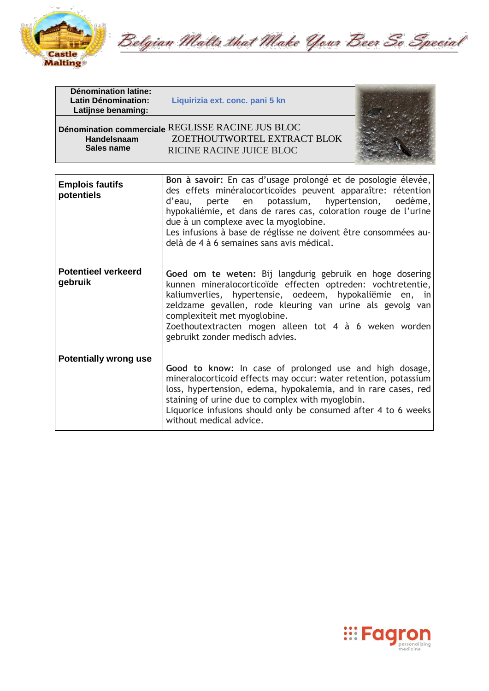

Belgian Malts that Make Your Beer So Special

| <b>Dénomination latine:</b><br><b>Latin Dénomination:</b><br>Latijnse benaming: | Liquirizia ext. conc. pani 5 kn                                                                                                                                                                                                                                                                                                                                                                  |                          |
|---------------------------------------------------------------------------------|--------------------------------------------------------------------------------------------------------------------------------------------------------------------------------------------------------------------------------------------------------------------------------------------------------------------------------------------------------------------------------------------------|--------------------------|
| <b>Handelsnaam</b><br>Sales name                                                | Dénomination commerciale REGLISSE RACINE JUS BLOC<br>ZOETHOUTWORTEL EXTRACT BLOK<br>RICINE RACINE JUICE BLOC                                                                                                                                                                                                                                                                                     |                          |
| <b>Emplois fautifs</b><br>potentiels                                            | Bon à savoir: En cas d'usage prolongé et de posologie élevée,<br>des effets minéralocorticoïdes peuvent apparaître: rétention<br>en<br>potassium,<br>d'eau,<br>perte<br>hypokaliémie, et dans de rares cas, coloration rouge de l'urine<br>due à un complexe avec la myoglobine.<br>Les infusions à base de réglisse ne doivent être consommées au-<br>delà de 4 à 6 semaines sans avis médical. | hypertension,<br>oedème, |
| <b>Potentieel verkeerd</b><br>gebruik                                           | Goed om te weten: Bij langdurig gebruik en hoge dosering<br>kunnen mineralocorticoïde effecten optreden: vochtretentie,<br>kaliumverlies, hypertensie, oedeem, hypokaliëmie en, in<br>zeldzame gevallen, rode kleuring van urine als gevolg van<br>complexiteit met myoglobine.<br>Zoethoutextracten mogen alleen tot 4 à 6 weken worden<br>gebruikt zonder medisch advies.                      |                          |
| <b>Potentially wrong use</b>                                                    | Good to know: In case of prolonged use and high dosage,<br>mineralocorticoid effects may occur: water retention, potassium<br>loss, hypertension, edema, hypokalemia, and in rare cases, red<br>staining of urine due to complex with myoglobin.<br>Liquorice infusions should only be consumed after 4 to 6 weeks<br>without medical advice.                                                    |                          |